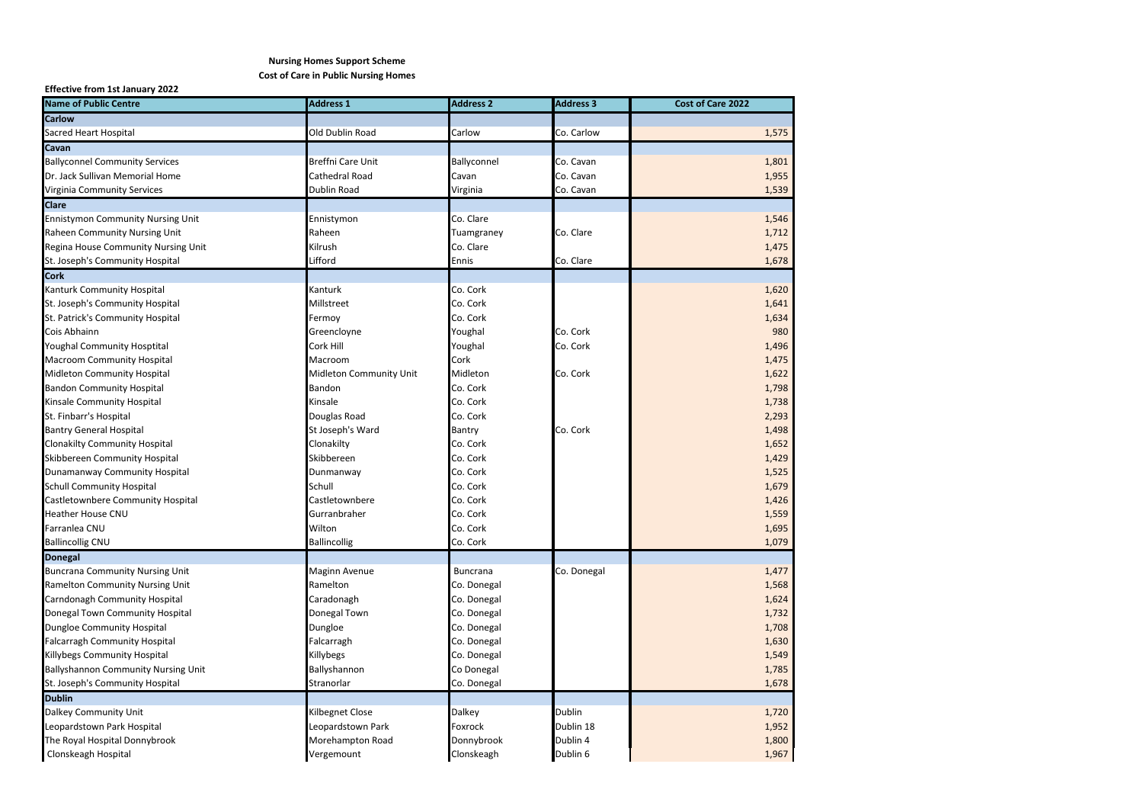## **Nursing Homes Support Scheme Cost of Care in Public Nursing Homes**

## **Effective from 1st January 2022**

| <b>Name of Public Centre</b>             | <b>Address 1</b>        | <b>Address 2</b> | <b>Address 3</b> | Cost of Care 2022 |
|------------------------------------------|-------------------------|------------------|------------------|-------------------|
| <b>Carlow</b>                            |                         |                  |                  |                   |
| Sacred Heart Hospital                    | Old Dublin Road         | Carlow           | Co. Carlow       | 1,575             |
| Cavan                                    |                         |                  |                  |                   |
| <b>Ballyconnel Community Services</b>    | Breffni Care Unit       | Ballyconnel      | Co. Cavan        | 1,801             |
| Dr. Jack Sullivan Memorial Home          | Cathedral Road          | Cavan            | Co. Cavan        | 1,955             |
| Virginia Community Services              | Dublin Road             | Virginia         | Co. Cavan        | 1,539             |
| <b>Clare</b>                             |                         |                  |                  |                   |
| <b>Ennistymon Community Nursing Unit</b> | Ennistymon              | Co. Clare        |                  | 1,546             |
| Raheen Community Nursing Unit            | Raheen                  | Tuamgraney       | Co. Clare        | 1,712             |
| Regina House Community Nursing Unit      | Kilrush                 | Co. Clare        |                  | 1,475             |
| St. Joseph's Community Hospital          | Lifford                 | Ennis            | Co. Clare        | 1,678             |
| <b>Cork</b>                              |                         |                  |                  |                   |
| Kanturk Community Hospital               | Kanturk                 | Co. Cork         |                  | 1,620             |
| St. Joseph's Community Hospital          | Millstreet              | Co. Cork         |                  | 1,641             |
| St. Patrick's Community Hospital         | Fermoy                  | Co. Cork         |                  | 1,634             |
| Cois Abhainn                             | Greencloyne             | Youghal          | Co. Cork         | 980               |
| <b>Youghal Community Hosptital</b>       | Cork Hill               | Youghal          | Co. Cork         | 1,496             |
| Macroom Community Hospital               | Macroom                 | Cork             |                  | 1,475             |
| Midleton Community Hospital              | Midleton Community Unit | Midleton         | Co. Cork         | 1,622             |
| <b>Bandon Community Hospital</b>         | Bandon                  | Co. Cork         |                  | 1,798             |
| Kinsale Community Hospital               | Kinsale                 | Co. Cork         |                  | 1,738             |
| St. Finbarr's Hospital                   | Douglas Road            | Co. Cork         |                  | 2,293             |
| <b>Bantry General Hospital</b>           | St Joseph's Ward        | Bantry           | Co. Cork         | 1,498             |
| <b>Clonakilty Community Hospital</b>     | Clonakilty              | Co. Cork         |                  | 1,652             |
| Skibbereen Community Hospital            | Skibbereen              | Co. Cork         |                  | 1,429             |
| Dunamanway Community Hospital            | Dunmanway               | Co. Cork         |                  | 1,525             |
| <b>Schull Community Hospital</b>         | Schull                  | Co. Cork         |                  | 1,679             |
| Castletownbere Community Hospital        | Castletownbere          | Co. Cork         |                  | 1,426             |
| <b>Heather House CNU</b>                 | Gurranbraher            | Co. Cork         |                  | 1,559             |
| Farranlea CNU                            | Wilton                  | Co. Cork         |                  | 1,695             |
| <b>Ballincollig CNU</b>                  | <b>Ballincollig</b>     | Co. Cork         |                  | 1,079             |
| <b>Donegal</b>                           |                         |                  |                  |                   |
| <b>Buncrana Community Nursing Unit</b>   | Maginn Avenue           | <b>Buncrana</b>  | Co. Donegal      | 1,477             |
| Ramelton Community Nursing Unit          | Ramelton                | Co. Donegal      |                  | 1,568             |
| Carndonagh Community Hospital            | Caradonagh              | Co. Donegal      |                  | 1,624             |
| Donegal Town Community Hospital          | Donegal Town            | Co. Donegal      |                  | 1,732             |
| <b>Dungloe Community Hospital</b>        | Dungloe                 | Co. Donegal      |                  | 1,708             |
| <b>Falcarragh Community Hospital</b>     | Falcarragh              | Co. Donegal      |                  | 1,630             |
| Killybegs Community Hospital             | Killybegs               | Co. Donegal      |                  | 1,549             |
| Ballyshannon Community Nursing Unit      | Ballyshannon            | Co Donegal       |                  | 1,785             |
| St. Joseph's Community Hospital          | Stranorlar              | Co. Donegal      |                  | 1,678             |
| <b>Dublin</b>                            |                         |                  |                  |                   |
| Dalkey Community Unit                    | Kilbegnet Close         | Dalkey           | Dublin           | 1,720             |
| Leopardstown Park Hospital               | Leopardstown Park       | Foxrock          | Dublin 18        | 1,952             |
| The Royal Hospital Donnybrook            | Morehampton Road        | Donnybrook       | Dublin 4         | 1,800             |
| Clonskeagh Hospital                      | Vergemount              | Clonskeagh       | Dublin 6         | 1,967             |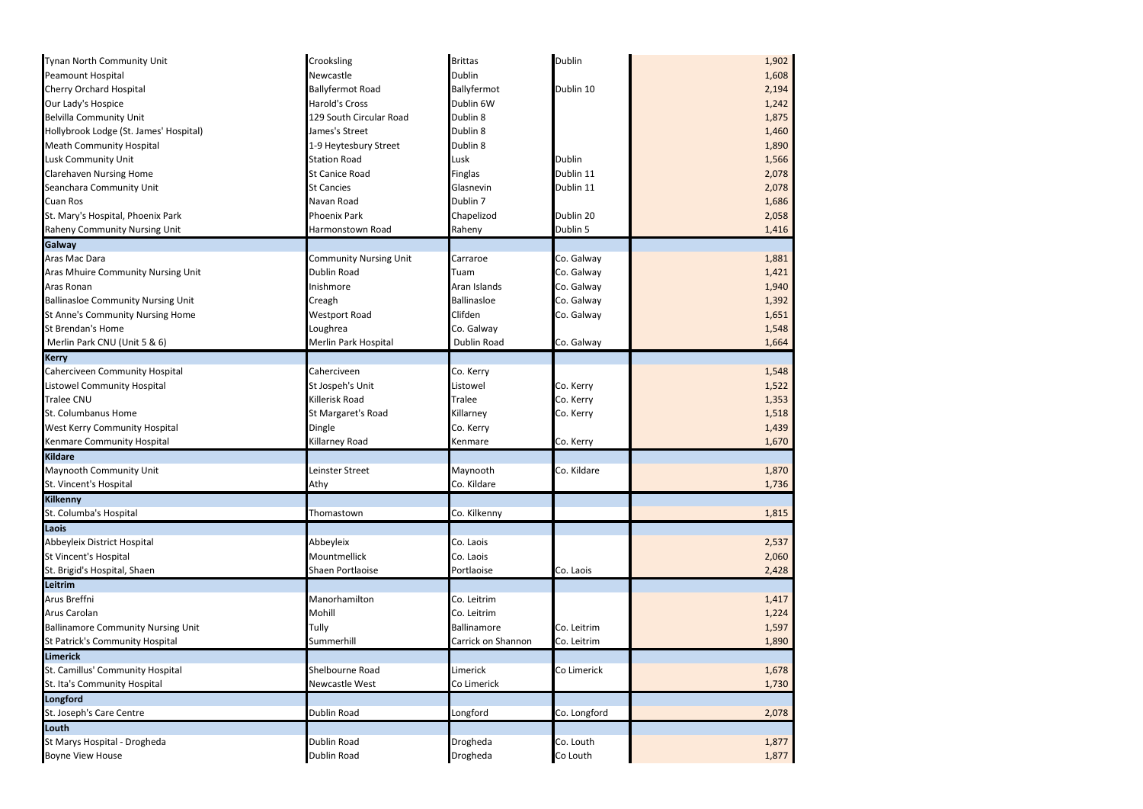| Tynan North Community Unit                | Crooksling                    | <b>Brittas</b>     | Dublin       | 1,902 |
|-------------------------------------------|-------------------------------|--------------------|--------------|-------|
| Peamount Hospital                         | Newcastle                     | Dublin             |              | 1,608 |
| Cherry Orchard Hospital                   | <b>Ballyfermot Road</b>       | Ballyfermot        | Dublin 10    | 2,194 |
| Our Lady's Hospice                        | <b>Harold's Cross</b>         | Dublin 6W          |              | 1,242 |
| <b>Belvilla Community Unit</b>            | 129 South Circular Road       | Dublin 8           |              | 1,875 |
| Hollybrook Lodge (St. James' Hospital)    | James's Street                | Dublin 8           |              | 1,460 |
| <b>Meath Community Hospital</b>           | 1-9 Heytesbury Street         | Dublin 8           |              | 1,890 |
| Lusk Community Unit                       | <b>Station Road</b>           | Lusk               | Dublin       | 1,566 |
| <b>Clarehaven Nursing Home</b>            | St Canice Road                | Finglas            | Dublin 11    | 2,078 |
| Seanchara Community Unit                  | <b>St Cancies</b>             | Glasnevin          | Dublin 11    | 2,078 |
| Cuan Ros                                  | Navan Road                    | Dublin 7           |              | 1,686 |
| St. Mary's Hospital, Phoenix Park         | Phoenix Park                  | Chapelizod         | Dublin 20    | 2,058 |
| Raheny Community Nursing Unit             | Harmonstown Road              | Raheny             | Dublin 5     | 1,416 |
| Galway                                    |                               |                    |              |       |
| Aras Mac Dara                             | <b>Community Nursing Unit</b> | Carraroe           | Co. Galway   | 1,881 |
| Aras Mhuire Community Nursing Unit        | Dublin Road                   | Tuam               | Co. Galway   | 1,421 |
| Aras Ronan                                | Inishmore                     | Aran Islands       | Co. Galway   | 1,940 |
| <b>Ballinasloe Community Nursing Unit</b> | Creagh                        | <b>Ballinasloe</b> | Co. Galway   | 1,392 |
| St Anne's Community Nursing Home          | <b>Westport Road</b>          | Clifden            | Co. Galway   | 1,651 |
| St Brendan's Home                         | Loughrea                      | Co. Galway         |              | 1,548 |
| Merlin Park CNU (Unit 5 & 6)              | Merlin Park Hospital          | Dublin Road        | Co. Galway   | 1,664 |
| <b>Kerry</b>                              |                               |                    |              |       |
| Caherciveen Community Hospital            | Caherciveen                   | Co. Kerry          |              | 1,548 |
| Listowel Community Hospital               | St Jospeh's Unit              | Listowel           | Co. Kerry    | 1,522 |
| Tralee CNU                                | Killerisk Road                | Tralee             | Co. Kerry    | 1,353 |
| St. Columbanus Home                       | St Margaret's Road            | Killarney          | Co. Kerry    | 1,518 |
| West Kerry Community Hospital             | Dingle                        | Co. Kerry          |              | 1,439 |
| Kenmare Community Hospital                | Killarney Road                | Kenmare            | Co. Kerry    | 1,670 |
| <b>Kildare</b>                            |                               |                    |              |       |
| Maynooth Community Unit                   | Leinster Street               | Maynooth           | Co. Kildare  | 1,870 |
| St. Vincent's Hospital                    | Athy                          | Co. Kildare        |              | 1,736 |
| Kilkenny                                  |                               |                    |              |       |
| St. Columba's Hospital                    | Thomastown                    | Co. Kilkenny       |              | 1,815 |
|                                           |                               |                    |              |       |
| Laois                                     |                               |                    |              |       |
| Abbeyleix District Hospital               | Abbeyleix                     | Co. Laois          |              | 2,537 |
| St Vincent's Hospital                     | Mountmellick                  | Co. Laois          |              | 2,060 |
| St. Brigid's Hospital, Shaen              | Shaen Portlaoise              | Portlaoise         | Co. Laois    | 2,428 |
| Leitrim                                   |                               |                    |              |       |
| Arus Breffni                              | Manorhamilton                 | Co. Leitrim        |              | 1,417 |
| Arus Carolan                              | Mohill                        | Co. Leitrim        |              | 1,224 |
| <b>Ballinamore Community Nursing Unit</b> | Tully                         | Ballinamore        | Co. Leitrim  | 1,597 |
| St Patrick's Community Hospital           | Summerhill                    | Carrick on Shannon | Co. Leitrim  | 1,890 |
| <b>Limerick</b>                           |                               |                    |              |       |
| St. Camillus' Community Hospital          | Shelbourne Road               | Limerick           | Co Limerick  | 1,678 |
| St. Ita's Community Hospital              | Newcastle West                | Co Limerick        |              | 1,730 |
| Longford                                  |                               |                    |              |       |
| St. Joseph's Care Centre                  | Dublin Road                   | Longford           | Co. Longford | 2,078 |
| Louth                                     |                               |                    |              |       |
| St Marys Hospital - Drogheda              | Dublin Road                   | Drogheda           | Co. Louth    | 1,877 |
| <b>Boyne View House</b>                   | Dublin Road                   | Drogheda           | Co Louth     | 1,877 |